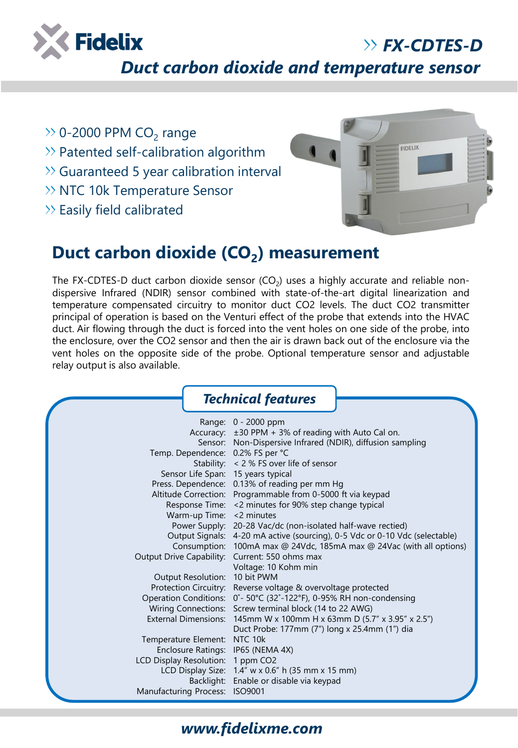

*FX-CDTES-D*

*Duct carbon dioxide and temperature sensor*

- 0-2000 PPM  $CO_2$  range
- $\gg$  Patented self-calibration algorithm
- Guaranteed 5 year calibration interval
- >> NTC 10k Temperature Sensor
- $\gg$  Easily field calibrated



## **Duct carbon dioxide (CO<sup>2</sup> ) measurement**

The FX-CDTES-D duct carbon dioxide sensor (CO<sub>2</sub>) uses a highly accurate and reliable nondispersive Infrared (NDIR) sensor combined with state-of-the-art digital linearization and temperature compensated circuitry to monitor duct CO2 levels. The duct CO2 transmitter principal of operation is based on the Venturi effect of the probe that extends into the HVAC duct. Air flowing through the duct is forced into the vent holes on one side of the probe, into the enclosure, over the CO2 sensor and then the air is drawn back out of the enclosure via the vent holes on the opposite side of the probe. Optional temperature sensor and adjustable relay output is also available.

|                                                | <b>Technical features</b>                                                   |  |  |  |  |  |
|------------------------------------------------|-----------------------------------------------------------------------------|--|--|--|--|--|
|                                                | Range: 0 - 2000 ppm                                                         |  |  |  |  |  |
|                                                | Accuracy: ±30 PPM + 3% of reading with Auto Cal on.                         |  |  |  |  |  |
|                                                | Sensor: Non-Dispersive Infrared (NDIR), diffusion sampling                  |  |  |  |  |  |
| Temp. Dependence: 0.2% FS per °C               |                                                                             |  |  |  |  |  |
|                                                | Stability: $\lt 2\%$ FS over life of sensor                                 |  |  |  |  |  |
| Sensor Life Span: 15 years typical             |                                                                             |  |  |  |  |  |
|                                                | Press. Dependence: 0.13% of reading per mm Hg                               |  |  |  |  |  |
|                                                | Altitude Correction: Programmable from 0-5000 ft via keypad                 |  |  |  |  |  |
|                                                | Response Time: < 2 minutes for 90% step change typical                      |  |  |  |  |  |
| Warm-up Time: < 2 minutes                      |                                                                             |  |  |  |  |  |
|                                                | Power Supply: 20-28 Vac/dc (non-isolated half-wave rectied)                 |  |  |  |  |  |
|                                                | Output Signals: 4-20 mA active (sourcing), 0-5 Vdc or 0-10 Vdc (selectable) |  |  |  |  |  |
|                                                | Consumption: 100mA max @ 24Vdc, 185mA max @ 24Vac (with all options)        |  |  |  |  |  |
| Output Drive Capability: Current: 550 ohms max |                                                                             |  |  |  |  |  |
|                                                | Voltage: 10 Kohm min                                                        |  |  |  |  |  |
| Output Resolution: 10 bit PWM                  |                                                                             |  |  |  |  |  |
|                                                | Protection Circuitry: Reverse voltage & overvoltage protected               |  |  |  |  |  |
|                                                | Operation Conditions: 0°-50°C (32°-122°F), 0-95% RH non-condensing          |  |  |  |  |  |
|                                                | Wiring Connections: Screw terminal block (14 to 22 AWG)                     |  |  |  |  |  |
|                                                | External Dimensions: 145mm W x 100mm H x 63mm D (5.7" x 3.95" x 2.5")       |  |  |  |  |  |
|                                                | Duct Probe: 177mm (7") long x 25.4mm (1") dia                               |  |  |  |  |  |
| Temperature Element: NTC 10k                   |                                                                             |  |  |  |  |  |
| <b>Enclosure Ratings:</b>                      | IP65 (NEMA 4X)                                                              |  |  |  |  |  |
| LCD Display Resolution: 1 ppm CO2              |                                                                             |  |  |  |  |  |
|                                                | LCD Display Size: 1.4" w x 0.6" h (35 mm x 15 mm)                           |  |  |  |  |  |
|                                                | Backlight: Enable or disable via keypad                                     |  |  |  |  |  |
| Manufacturing Process: ISO9001                 |                                                                             |  |  |  |  |  |

## *www.fidelixme.com*